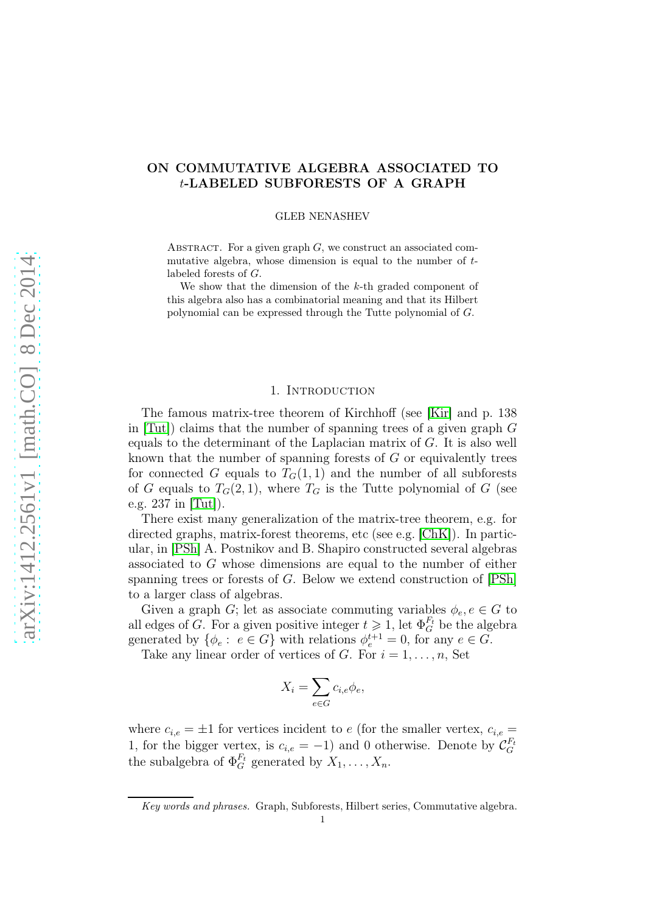# ON COMMUTATIVE ALGEBRA ASSOCIATED TO t-LABELED SUBFORESTS OF A GRAPH

GLEB NENASHEV

ABSTRACT. For a given graph  $G$ , we construct an associated commutative algebra, whose dimension is equal to the number of tlabeled forests of G.

We show that the dimension of the k-th graded component of this algebra also has a combinatorial meaning and that its Hilbert polynomial can be expressed through the Tutte polynomial of G.

## 1. INTRODUCTION

The famous matrix-tree theorem of Kirchhoff (see [\[Kir\]](#page-6-0) and p. 138 in [\[Tut\]](#page-6-1)) claims that the number of spanning trees of a given graph G equals to the determinant of the Laplacian matrix of  $G$ . It is also well known that the number of spanning forests of  $G$  or equivalently trees for connected G equals to  $T<sub>G</sub>(1,1)$  and the number of all subforests of G equals to  $T_G(2,1)$ , where  $T_G$  is the Tutte polynomial of G (see e.g. 237 in [\[Tut\]](#page-6-1)).

There exist many generalization of the matrix-tree theorem, e.g. for directed graphs, matrix-forest theorems, etc (see e.g. [\[ChK\]](#page-6-2)). In particular, in [\[PSh\]](#page-6-3) A. Postnikov and B. Shapiro constructed several algebras associated to G whose dimensions are equal to the number of either spanning trees or forests of G. Below we extend construction of [\[PSh\]](#page-6-3) to a larger class of algebras.

Given a graph G; let as associate commuting variables  $\phi_e, e \in G$  to all edges of G. For a given positive integer  $t \geq 1$ , let  $\Phi_G^{F_t}$  be the algebra generated by  $\{\phi_e: e \in G\}$  with relations  $\phi_e^{t+1} = 0$ , for any  $e \in G$ .

Take any linear order of vertices of G. For  $i = 1, \ldots, n$ , Set

$$
X_i = \sum_{e \in G} c_{i,e} \phi_e,
$$

where  $c_{i,e} = \pm 1$  for vertices incident to e (for the smaller vertex,  $c_{i,e}$ ) 1, for the bigger vertex, is  $c_{i,e} = -1$ ) and 0 otherwise. Denote by  $\mathcal{C}_G^{F_t}$ G the subalgebra of  $\Phi_G^{F_t}$  generated by  $X_1, \ldots, X_n$ .

Key words and phrases. Graph, Subforests, Hilbert series, Commutative algebra.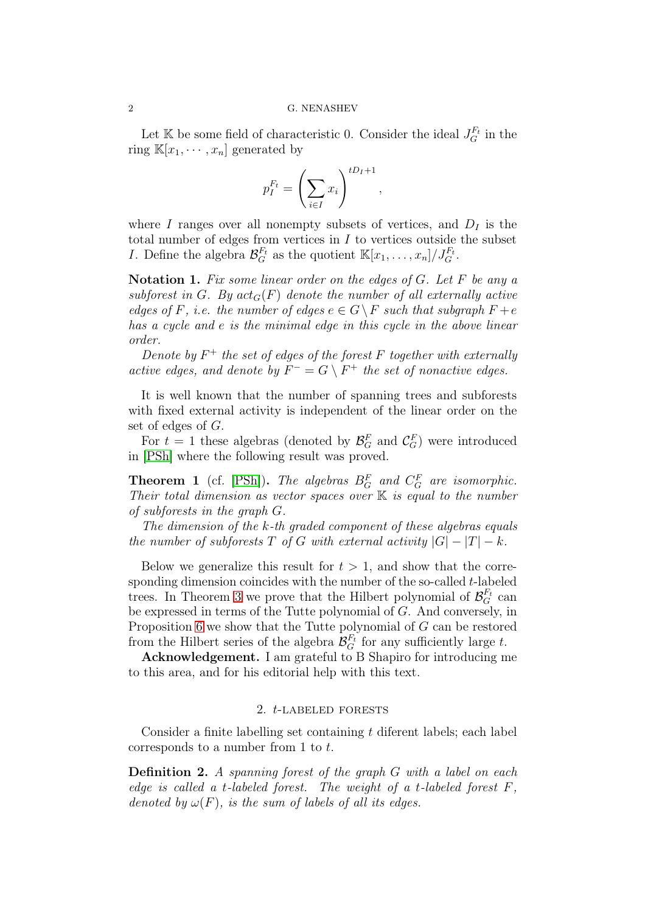Let K be some field of characteristic 0. Consider the ideal  $J_G^{F_t}$  in the ring  $\mathbb{K}[x_1, \cdots, x_n]$  generated by

$$
p_I^{F_t} = \left(\sum_{i \in I} x_i\right)^{tD_I + 1},
$$

where  $I$  ranges over all nonempty subsets of vertices, and  $D_I$  is the total number of edges from vertices in  $I$  to vertices outside the subset *I*. Define the algebra  $\mathcal{B}_G^{F_t}$  as the quotient  $\mathbb{K}[x_1,\ldots,x_n]/J_G^{F_t}$ .

**Notation 1.** Fix some linear order on the edges of  $G$ . Let  $F$  be any a subforest in G. By  $act_G(F)$  denote the number of all externally active edges of F, i.e. the number of edges  $e \in G \backslash F$  such that subgraph  $F + e$ has a cycle and e is the minimal edge in this cycle in the above linear order.

Denote by  $F^+$  the set of edges of the forest F together with externally active edges, and denote by  $F^- = G \setminus F^+$  the set of nonactive edges.

It is well known that the number of spanning trees and subforests with fixed external activity is independent of the linear order on the set of edges of G.

For  $t = 1$  these algebras (denoted by  $\mathcal{B}_G^F$  and  $\mathcal{C}_G^F$ ) were introduced in [\[PSh\]](#page-6-3) where the following result was proved.

**Theorem 1** (cf. [\[PSh\]](#page-6-3)). The algebras  $B_G^F$  and  $C_G^F$  are isomorphic. Their total dimension as vector spaces over  $K$  is equal to the number of subforests in the graph G.

The dimension of the k-th graded component of these algebras equals the number of subforests T of G with external activity  $|G| - |T| - k$ .

Below we generalize this result for  $t > 1$ , and show that the corresponding dimension coincides with the number of the so-called  $t$ -labeled trees. In Theorem [3](#page-2-0) we prove that the Hilbert polynomial of  $\mathcal{B}_G^{F_t}$  can be expressed in terms of the Tutte polynomial of G. And conversely, in Proposition [6](#page-5-0) we show that the Tutte polynomial of G can be restored from the Hilbert series of the algebra  $\mathcal{B}_G^{F_t}$  for any sufficiently large t.

Acknowledgement. I am grateful to B Shapiro for introducing me to this area, and for his editorial help with this text.

# 2. t-labeled forests

Consider a finite labelling set containing t diferent labels; each label corresponds to a number from 1 to t.

Definition 2. A spanning forest of the graph G with a label on each edge is called a t-labeled forest. The weight of a t-labeled forest  $F$ , denoted by  $\omega(F)$ , is the sum of labels of all its edges.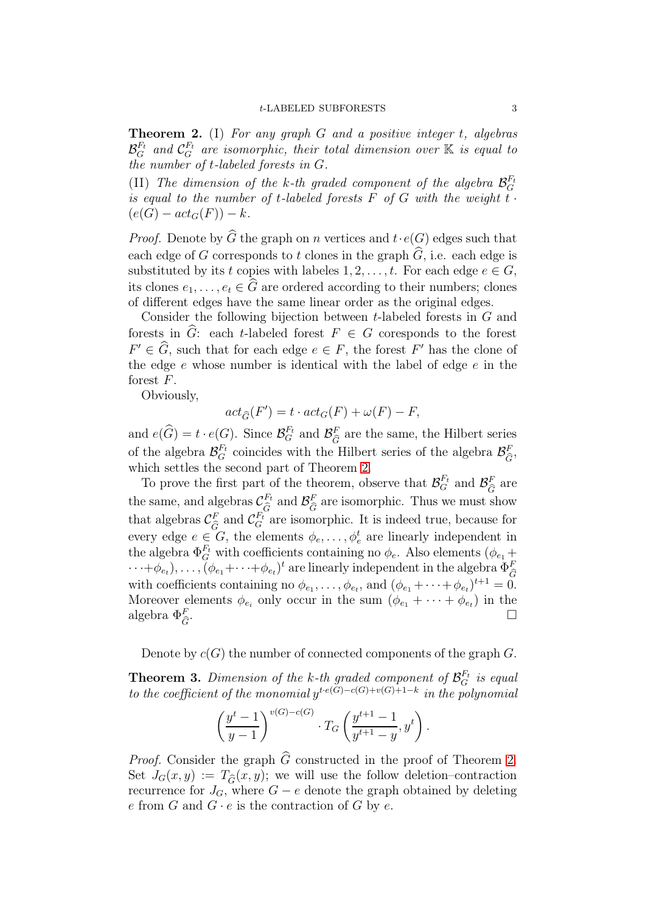<span id="page-2-1"></span>**Theorem 2.** (I) For any graph  $G$  and a positive integer  $t$ , algebras  $\mathcal{B}_G^{F_t}$  and  $\mathcal{C}_G^{F_t}$  are isomorphic, their total dimension over  $\mathbb K$  is equal to the number of t-labeled forests in G.

(II) The dimension of the k-th graded component of the algebra  $\mathcal{B}_G^{F_t}$ G is equal to the number of t-labeled forests  $\overline{F}$  of  $G$  with the weight  $\overline{t}$ .  $(e(G) - act_G(F)) - k.$ 

*Proof.* Denote by  $\widehat{G}$  the graph on n vertices and  $t \cdot e(G)$  edges such that each edge of G corresponds to t clones in the graph  $\widehat{G}$ , i.e. each edge is substituted by its t copies with labeles  $1, 2, \ldots, t$ . For each edge  $e \in G$ , its clones  $e_1, \ldots, e_t \in \widehat{G}$  are ordered according to their numbers; clones of different edges have the same linear order as the original edges.

Consider the following bijection between  $t$ -labeled forests in  $G$  and forests in  $\widehat{G}$ : each t-labeled forest  $F \in G$  coresponds to the forest  $F' \in \widehat{G}$ , such that for each edge  $e \in F$ , the forest  $F'$  has the clone of the edge  $e$  whose number is identical with the label of edge  $e$  in the forest F.

Obviously,

$$
act_{\widehat{G}}(F') = t \cdot act_G(F) + \omega(F) - F,
$$

and  $e(\widehat{G}) = t \cdot e(G)$ . Since  $\mathcal{B}_G^{F_t}$  and  $\mathcal{B}_{\widehat{G}}^F$  are the same, the Hilbert series of the algebra  $\mathcal{B}_{G}^{F_t}$  coincides with the Hilbert series of the algebra  $\mathcal{B}_{\widehat{G}}^F$ , which settles the second part of Theorem [2.](#page-2-1)

To prove the first part of the theorem, observe that  $\mathcal{B}_G^{F_t}$  and  $\mathcal{B}_{\widehat{G}}^F$  are the same, and algebras  $\mathcal{C}_{\widehat{G}}^{F_t}$  and  $\mathcal{B}_{\widehat{G}}^F$  are isomorphic. Thus we must show that algebras  $\mathcal{C}_{\widehat{G}}^F$  and  $\mathcal{C}_{G}^{F_t}$  are isomorphic. It is indeed true, because for every edge  $e \in G$ , the elements  $\phi_e, \ldots, \phi_e^t$  are linearly independent in the algebra  $\Phi_G^{F_t}$  with coefficients containing no  $\phi_e$ . Also elements  $(\phi_{e_1} +$  $\cdots + \phi_{e_t}), \ldots, (\phi_{e_1} + \cdots + \phi_{e_t})^t$  are linearly independent in the algebra  $\Phi_{\widehat{G}}^F$ with coefficients containing no  $\phi_{e_1}, \dots, \phi_{e_t}$ , and  $(\phi_{e_1} + \dots + \phi_{e_t})^{t+1} = 0$ . Moreover elements  $\phi_{e_i}$  only occur in the sum  $(\phi_{e_1} + \cdots + \phi_{e_t})$  in the algebra  $\Phi_{\widehat{G}}^F$ .

Denote by  $c(G)$  the number of connected components of the graph  $G$ .

<span id="page-2-0"></span>**Theorem 3.** Dimension of the k-th graded component of  $\mathcal{B}_G^{F_t}$  is equal to the coefficient of the monomial  $y^{t \cdot e(G)-c(G)+v(G)+1-k}$  in the polynomial

$$
\left(\frac{y^{t}-1}{y-1}\right)^{v(G)-c(G)} \cdot T_G\left(\frac{y^{t+1}-1}{y^{t+1}-y}, y^{t}\right).
$$

*Proof.* Consider the graph  $\widehat{G}$  constructed in the proof of Theorem [2.](#page-2-1) Set  $J_G(x, y) := T_{\hat{G}}(x, y);$  we will use the follow deletion–contraction recurrence for  $J_G$ , where  $G - e$  denote the graph obtained by deleting e from G and  $G \cdot e$  is the contraction of G by e.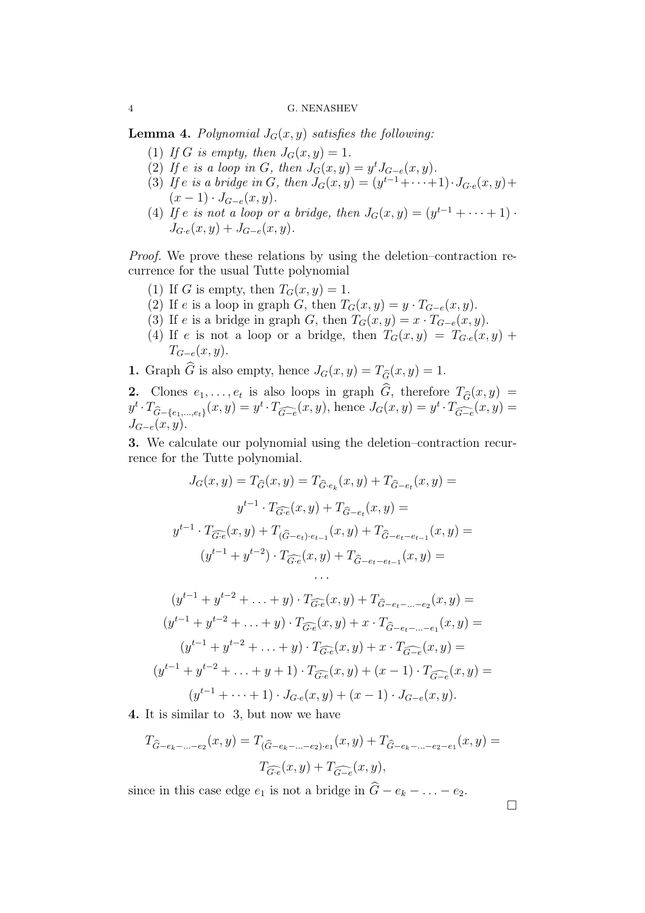### 4 G. NENASHEV

**Lemma 4.** Polynomial  $J_G(x, y)$  satisfies the following:

- (1) If G is empty, then  $J_G(x, y) = 1$ .
- (2) If e is a loop in G, then  $J_G(x,y) = y^t J_{G-e}(x,y)$ .
- (3) If e is a bridge in G, then  $J_G(x, y) = (y^{t-1} + \cdots + 1) \cdot J_{G \cdot e}(x, y) +$  $(x - 1) \cdot J_{G-e}(x, y).$
- <span id="page-3-0"></span>(4) If e is not a loop or a bridge, then  $J_G(x,y) = (y^{t-1} + \cdots + 1)$ .  $J_{G-e}(x, y) + J_{G-e}(x, y).$

Proof. We prove these relations by using the deletion–contraction recurrence for the usual Tutte polynomial

- (1) If G is empty, then  $T_G(x, y) = 1$ .
- (2) If e is a loop in graph G, then  $T_G(x, y) = y \cdot T_{G-e}(x, y)$ .
- (3) If e is a bridge in graph G, then  $T_G(x, y) = x \cdot T_{G-e}(x, y)$ .
- (4) If e is not a loop or a bridge, then  $T_G(x, y) = T_{G \cdot e}(x, y) +$  $T_{G-e}(x, y)$ .

1. Graph  $\widehat{G}$  is also empty, hence  $J_G(x, y) = T_{\widehat{G}}(x, y) = 1$ .

2. Clones  $e_1, \ldots, e_t$  is also loops in graph  $G$ , therefore  $T_{\widehat{G}}(x, y) =$  $y^t \cdot T_{\widehat{G}-\{e_1,\ldots,e_t\}}(x,y) = y^t \cdot T_{\widehat{G-e}}(x,y)$ , hence  $J_G(x,y) = y^t \cdot T_{\widehat{G-e}}(x,y) =$  $J_{G-e}(x, y)$ .

3. We calculate our polynomial using the deletion–contraction recurrence for the Tutte polynomial.

$$
J_G(x, y) = T_{\widehat{G}}(x, y) = T_{\widehat{G} \cdot e_k}(x, y) + T_{\widehat{G} - e_t}(x, y) =
$$
  

$$
y^{t-1} \cdot T_{\widehat{G \cdot e}}(x, y) + T_{\widehat{G} - e_t}(x, y) =
$$
  

$$
y^{t-1} \cdot T_{\widehat{G \cdot e}}(x, y) + T_{(\widehat{G} - e_t) \cdot e_{t-1}}(x, y) + T_{\widehat{G} - e_t - e_{t-1}}(x, y) =
$$
  

$$
(y^{t-1} + y^{t-2}) \cdot T_{\widehat{G \cdot e}}(x, y) + T_{\widehat{G} - e_t - e_{t-1}}(x, y) =
$$
  
...  

$$
(y^{t-1} + y^{t-2} + \ldots + y) \cdot T_{\widehat{G \cdot e}}(x, y) + T_{\widehat{G} - e_t - \ldots - e_2}(x, y) =
$$
  

$$
(y^{t-1} + y^{t-2} + \ldots + y) \cdot T_{\widehat{G \cdot e}}(x, y) + x \cdot T_{\widehat{G} - e_t - \ldots - e_1}(x, y) =
$$
  

$$
(y^{t-1} + y^{t-2} + \ldots + y) \cdot T_{\widehat{G \cdot e}}(x, y) + x \cdot T_{\widehat{G} - e}(x, y) =
$$
  

$$
(y^{t-1} + y^{t-2} + \ldots + y + 1) \cdot T_{\widehat{G \cdot e}}(x, y) + (x - 1) \cdot T_{\widehat{G \cdot e}}(x, y) =
$$
  

$$
(y^{t-1} + \ldots + 1) \cdot J_{G \cdot e}(x, y) + (x - 1) \cdot J_{G - e}(x, y).
$$

4. It is similar to 3, but now we have

$$
T_{\widehat{G}-e_k-\ldots-e_2}(x,y) = T_{(\widehat{G}-e_k-\ldots-e_2)\cdot e_1}(x,y) + T_{\widehat{G}-e_k-\ldots-e_2-e_1}(x,y) =
$$
  

$$
T_{\widehat{G}\cdot e}(x,y) + T_{\widehat{G}-e}(x,y),
$$

since in this case edge  $e_1$  is not a bridge in  $\widehat{G} - e_k - \ldots - e_2$ .

 $\Box$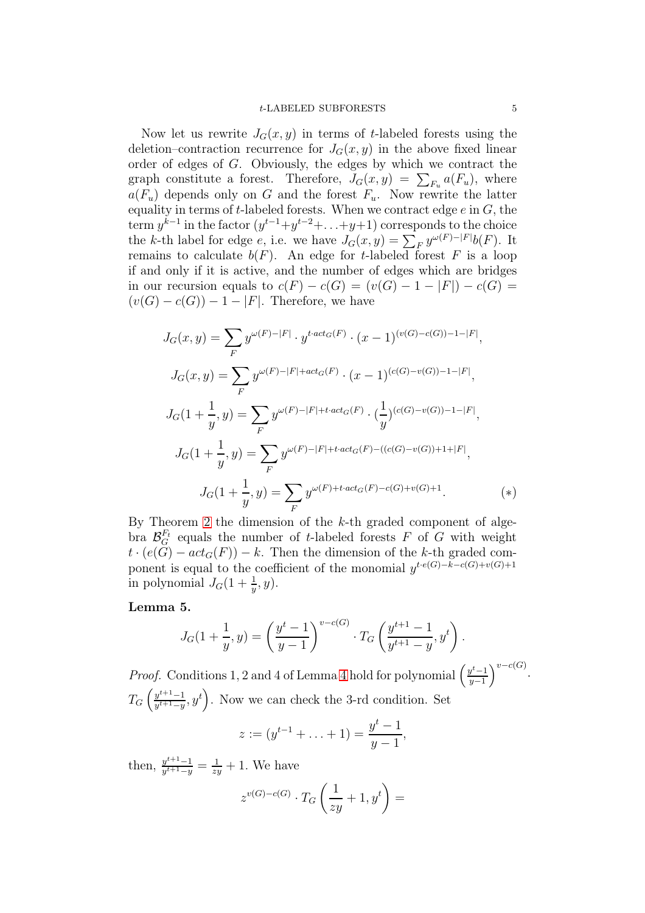#### t-LABELED SUBFORESTS 5

Now let us rewrite  $J_G(x, y)$  in terms of t-labeled forests using the deletion–contraction recurrence for  $J<sub>G</sub>(x, y)$  in the above fixed linear order of edges of G. Obviously, the edges by which we contract the graph constitute a forest. Therefore,  $J_G(x, y) = \sum_{F_u} a(F_u)$ , where  $a(F_u)$  depends only on G and the forest  $F_u$ . Now rewrite the latter equality in terms of t-labeled forests. When we contract edge  $e$  in  $G$ , the term  $y^{k-1}$  in the factor  $(y^{t-1}+y^{t-2}+\ldots+y+1)$  corresponds to the choice the k-th label for edge e, i.e. we have  $J_G(x, y) = \sum_F y^{\omega(F) - |F|} b(F)$ . It remains to calculate  $b(F)$ . An edge for t-labeled forest F is a loop if and only if it is active, and the number of edges which are bridges in our recursion equals to  $c(F) - c(G) = (v(G) - 1 - |F|) - c(G) =$  $(v(G) - c(G)) - 1 - |F|$ . Therefore, we have

$$
J_G(x, y) = \sum_{F} y^{\omega(F) - |F|} \cdot y^{t \cdot act_G(F)} \cdot (x - 1)^{(v(G) - c(G)) - 1 - |F|},
$$
  
\n
$$
J_G(x, y) = \sum_{F} y^{\omega(F) - |F| + act_G(F)} \cdot (x - 1)^{(c(G) - v(G)) - 1 - |F|},
$$
  
\n
$$
J_G(1 + \frac{1}{y}, y) = \sum_{F} y^{\omega(F) - |F| + t \cdot act_G(F)} \cdot (\frac{1}{y})^{(c(G) - v(G)) - 1 - |F|},
$$
  
\n
$$
J_G(1 + \frac{1}{y}, y) = \sum_{F} y^{\omega(F) - |F| + t \cdot act_G(F) - ((c(G) - v(G)) + 1 + |F|)},
$$
  
\n
$$
J_G(1 + \frac{1}{y}, y) = \sum_{F} y^{\omega(F) + t \cdot act_G(F) - c(G) + v(G) + 1}. \qquad (*)
$$

By Theorem [2](#page-2-1) the dimension of the  $k$ -th graded component of algebra  $\mathcal{B}_G^{F_t}$  equals the number of t-labeled forests F of G with weight  $t \cdot (e(G) - act_G(F)) - k$ . Then the dimension of the k-th graded component is equal to the coefficient of the monomial  $y^{t \cdot e(G)-k-c(G)+v(G)+1}$ in polynomial  $J_G(1+\frac{1}{y},y)$ .

## <span id="page-4-0"></span>Lemma 5.

$$
J_G(1+\frac{1}{y},y) = \left(\frac{y^t-1}{y-1}\right)^{v-c(G)} \cdot T_G\left(\frac{y^{t+1}-1}{y^{t+1}-y},y^t\right).
$$

*Proof.* Conditions 1, 2 and [4](#page-3-0) of Lemma 4 hold for polynomial  $\left(\frac{y^{t}-1}{y-1}\right)$  $y-1$  $\bigg)^{v-c(G)}.$  $T_G\left(\frac{y^{t+1}-1}{y^{t+1}-y}\right)$  $(y^{t+1}-y, y^t)$ . Now we can check the 3-rd condition. Set

$$
z := (y^{t-1} + \ldots + 1) = \frac{y^t - 1}{y - 1},
$$

then,  $\frac{y^{t+1}-1}{y^{t+1}-y}$  $\frac{y^{t+1}-1}{y^{t+1}-y} = \frac{1}{zy} + 1$ . We have

$$
z^{v(G)-c(G)}\cdot T_G\left(\frac{1}{zy}+1,y^t\right)=
$$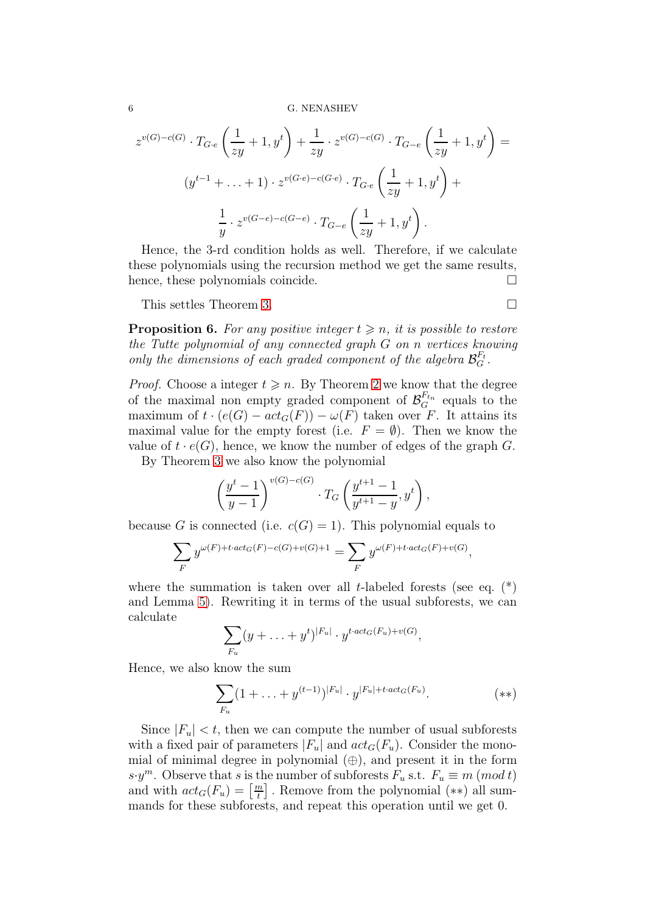#### 6 G. NENASHEV

$$
z^{v(G)-c(G)} \cdot T_{G\cdot e} \left( \frac{1}{zy} + 1, y^t \right) + \frac{1}{zy} \cdot z^{v(G)-c(G)} \cdot T_{G-e} \left( \frac{1}{zy} + 1, y^t \right) =
$$
  

$$
(y^{t-1} + \ldots + 1) \cdot z^{v(G\cdot e)-c(G\cdot e)} \cdot T_{G\cdot e} \left( \frac{1}{zy} + 1, y^t \right) +
$$
  

$$
\frac{1}{y} \cdot z^{v(G-e)-c(G-e)} \cdot T_{G-e} \left( \frac{1}{zy} + 1, y^t \right).
$$

Hence, the 3-rd condition holds as well. Therefore, if we calculate these polynomials using the recursion method we get the same results, hence, these polynomials coincide.

This settles Theorem [3.](#page-2-0)

<span id="page-5-0"></span>**Proposition 6.** For any positive integer  $t \geq n$ , it is possible to restore the Tutte polynomial of any connected graph G on n vertices knowing only the dimensions of each graded component of the algebra  $\mathcal{B}_G^{F_t}$ .

*Proof.* Choose a integer  $t \geq n$ . By Theorem [2](#page-2-1) we know that the degree of the maximal non empty graded component of  $\mathcal{B}_G^{F_{t_n}}$  equals to the maximum of  $t \cdot (e(G) - act_G(F)) - \omega(F)$  taken over F. It attains its maximal value for the empty forest (i.e.  $F = \emptyset$ ). Then we know the value of  $t \cdot e(G)$ , hence, we know the number of edges of the graph G.

By Theorem [3](#page-2-0) we also know the polynomial

$$
\left(\frac{y^{t}-1}{y-1}\right)^{v(G)-c(G)} \cdot T_G\left(\frac{y^{t+1}-1}{y^{t+1}-y}, y^{t}\right),\,
$$

because G is connected (i.e.  $c(G) = 1$ ). This polynomial equals to

$$
\sum_{F} y^{\omega(F)+t\cdot act_G(F)-c(G)+v(G)+1} = \sum_{F} y^{\omega(F)+t\cdot act_G(F)+v(G)},
$$

where the summation is taken over all t-labeled forests (see eq.  $(*)$ ) and Lemma [5\)](#page-4-0). Rewriting it in terms of the usual subforests, we can calculate

$$
\sum_{F_u} (y + \ldots + y^t)^{|F_u|} \cdot y^{t \cdot act_G(F_u) + v(G)},
$$

Hence, we also know the sum

$$
\sum_{F_u} (1 + \ldots + y^{(t-1)})^{|F_u|} \cdot y^{|F_u| + t \cdot act_G(F_u)}.
$$
 (\*\*)

Since  $|F_u| < t$ , then we can compute the number of usual subforests with a fixed pair of parameters  $|F_u|$  and  $act_G(F_u)$ . Consider the monomial of minimal degree in polynomial  $(\oplus)$ , and present it in the form  $s \cdot y^m$ . Observe that s is the number of subforests  $F_u$  s.t.  $F_u \equiv m \ (mod t)$ and with  $act_G(F_u) = \left\lceil \frac{m}{t} \right\rceil$  $\left\lfloor \frac{n}{t} \right\rfloor$ . Remove from the polynomial  $(**)$  all summands for these subforests, and repeat this operation until we get 0.